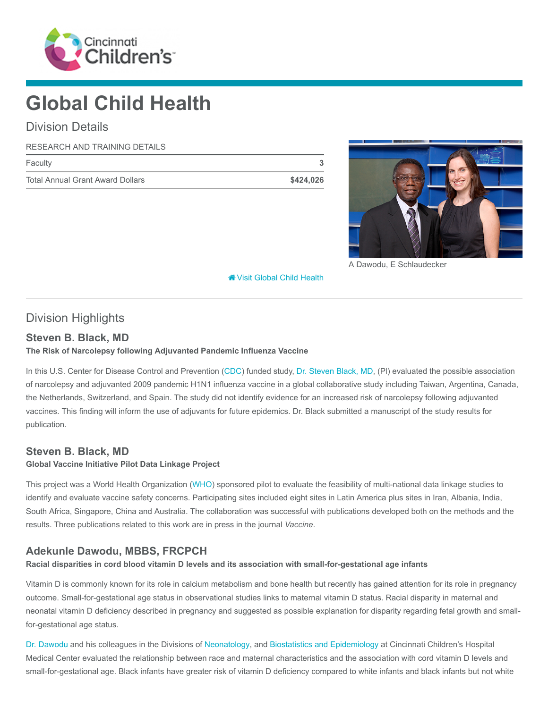

# Global Child Health

# Division Details

#### RESEARCH AND TRAINING DETAILS

| Faculty                                 |           |
|-----------------------------------------|-----------|
| <b>Total Annual Grant Award Dollars</b> | \$424,026 |



A Dawodu, E Schlaudecker

**<sup><sup>8</sup>** [Visit Global Child Health](https://www.cincinnatichildrens.org/research/divisions/g/global-child-health)</sup>

# Division Highlights

## Steven B. Black, MD

#### The Risk of Narcolepsy following Adjuvanted Pandemic Influenza Vaccine

In this U.S. Center for Disease Control and Prevention [\(CDC](https://www.cdc.gov/)) funded study, [Dr. Steven Black, MD,](https://www.cincinnatichildrens.org/bio/b/steven-black) (Pl) evaluated the possible association of narcolepsy and adjuvanted 2009 pandemic H1N1 influenza vaccine in a global collaborative study including Taiwan, Argentina, Canada, the Netherlands, Switzerland, and Spain. The study did not identify evidence for an increased risk of narcolepsy following adjuvanted vaccines. This finding will inform the use of adjuvants for future epidemics. Dr. Black submitted a manuscript of the study results for publication.

## Steven B. Black, MD

#### Global Vaccine Initiative Pilot Data Linkage Project

This project was a World Health Organization ([WHO\)](http://www.who.int/en/) sponsored pilot to evaluate the feasibility of multi-national data linkage studies to identify and evaluate vaccine safety concerns. Participating sites included eight sites in Latin America plus sites in Iran, Albania, India, South Africa, Singapore, China and Australia. The collaboration was successful with publications developed both on the methods and the results. Three publications related to this work are in press in the journal Vaccine.

## Adekunle Dawodu, MBBS, FRCPCH

#### Racial disparities in cord blood vitamin D levels and its association with small-for-gestational age infants

Vitamin D is commonly known for its role in calcium metabolism and bone health but recently has gained attention for its role in pregnancy outcome. Small-for-gestational age status in observational studies links to maternal vitamin D status. Racial disparity in maternal and neonatal vitamin D deficiency described in pregnancy and suggested as possible explanation for disparity regarding fetal growth and smallfor-gestational age status.

[Dr. Dawodu](https://www.cincinnatichildrens.org/bio/d/adekunle-dawodu) and his colleagues in the Divisions of [Neonatology,](https://www.cincinnatichildrens.org/research/divisions/n/neonatology) and [Biostatistics and Epidemiology](https://www.cincinnatichildrens.org/research/divisions/b/biostatistics) at Cincinnati Children's Hospital Medical Center evaluated the relationship between race and maternal characteristics and the association with cord vitamin D levels and small-for-gestational age. Black infants have greater risk of vitamin D deficiency compared to white infants and black infants but not white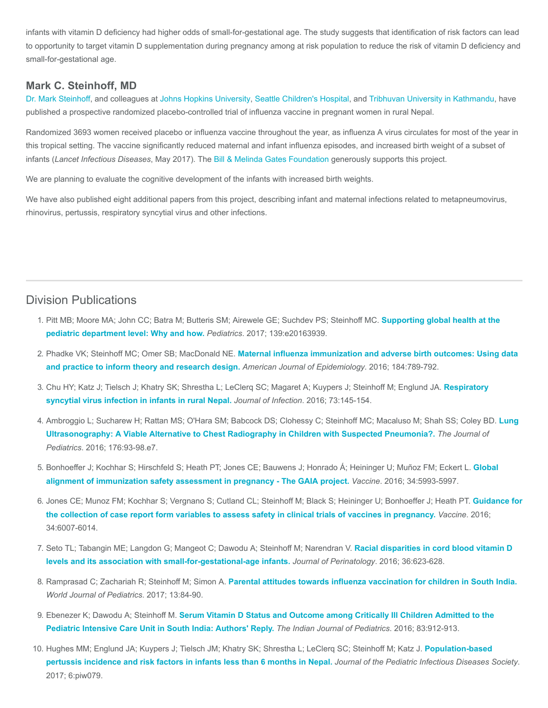infants with vitamin D deficiency had higher odds of small-for-gestational age. The study suggests that identification of risk factors can lead to opportunity to target vitamin D supplementation during pregnancy among at risk population to reduce the risk of vitamin D deficiency and small-for-gestational age.

#### Mark C. Steinhoff, MD

[Dr. Mark Steinhoff,](https://www.cincinnatichildrens.org/notfound/search?item=master%3a%7bEF81A587-EFFB-4E08-965D-3740BFA1CD2B%7d%40en) and colleagues at [Johns Hopkins University,](https://www.jhu.edu/) [Seattle Children's Hospital](http://www.seattlechildrens.org/), and [Tribhuvan University in Kathmandu](http://tribhuvan-university.edu.np/), have published a prospective randomized placebo-controlled trial of influenza vaccine in pregnant women in rural Nepal.

Randomized 3693 women received placebo or influenza vaccine throughout the year, as influenza A virus circulates for most of the year in this tropical setting. The vaccine significantly reduced maternal and infant influenza episodes, and increased birth weight of a subset of infants (Lancet Infectious Diseases, May 2017). The [Bill & Melinda Gates Foundation](https://www.gatesfoundation.org/) generously supports this project.

We are planning to evaluate the cognitive development of the infants with increased birth weights.

We have also published eight additional papers from this project, describing infant and maternal infections related to metapneumovirus, rhinovirus, pertussis, respiratory syncytial virus and other infections.

## Division Publications

- 1. [Pitt MB; Moore MA; John CC; Batra M; Butteris SM; Airewele GE; Suchdev PS; Steinhoff MC.](https://www.ncbi.nlm.nih.gov/pubmed/28562273) Supporting global health at the pediatric department level: Why and how. Pediatrics. 2017; 139:e20163939.
- 2. Phadke VK; Steinhoff MC; Omer SB; MacDonald NE. [Maternal influenza immunization and adverse birth outcomes: Using data](https://www.ncbi.nlm.nih.gov/pubmed/27784657) and practice to inform theory and research design. American Journal of Epidemiology. 2016; 184:789-792.
- 3. [Chu HY; Katz J; Tielsch J; Khatry SK; Shrestha L; LeClerq SC; Magaret A; Kuypers J; Steinhoff M; Englund JA.](https://www.ncbi.nlm.nih.gov/pubmed/27241525) Respiratory syncytial virus infection in infants in rural Nepal. Journal of Infection. 2016; 73:145-154.
- 4. [Ambroggio L; Sucharew H; Rattan MS; O'Hara SM; Babcock DS; Clohessy C; Steinhoff MC; Macaluso M; Shah SS; Coley BD.](https://www.ncbi.nlm.nih.gov/pubmed/27318374) Lung Ultrasonography: A Viable Alternative to Chest Radiography in Children with Suspected Pneumonia?. The Journal of Pediatrics. 2016; 176:93-98.e7.
- 5. [Bonhoeffer J; Kochhar S; Hirschfeld S; Heath PT; Jones CE; Bauwens J; Honrado Á; Heininger U; Muñoz FM; Eckert L.](https://www.ncbi.nlm.nih.gov/pubmed/27751641) Global alignment of immunization safety assessment in pregnancy - The GAIA project. Vaccine. 2016; 34:5993-5997.
- 6. [Jones CE; Munoz FM; Kochhar S; Vergnano S; Cutland CL; Steinhoff M; Black S; Heininger U; Bonhoeffer J; Heath PT.](https://www.ncbi.nlm.nih.gov/pubmed/27793485) Guidance for the collection of case report form variables to assess safety in clinical trials of vaccines in pregnancy. Vaccine. 2016; 34:6007-6014.
- 7. [Seto TL; Tabangin ME; Langdon G; Mangeot C; Dawodu A; Steinhoff M; Narendran V.](https://www.ncbi.nlm.nih.gov/pubmed/27101387) Racial disparities in cord blood vitamin D levels and its association with small-for-gestational-age infants. Journal of Perinatology. 2016; 36:623-628.
- 8. Ramprasad C; Zachariah R; Steinhoff M; Simon A. [Parental attitudes towards influenza vaccination for children in South India.](https://www.ncbi.nlm.nih.gov/pubmed/27577192) World Journal of Pediatrics. 2017; 13:84-90.
- 9. Ebenezer K; Dawodu A; Steinhoff M. Serum Vitamin D Status and Outcome among Critically III Children Admitted to the Pediatric Intensive Care Unit in South India: Authors' Reply. The Indian Journal of Pediatrics. 2016; 83:912-913.
- 10. [Hughes MM; Englund JA; Kuypers J; Tielsch JM; Khatry SK; Shrestha L; LeClerq SC; Steinhoff M; Katz J.](https://www.ncbi.nlm.nih.gov/pubmed/28073985) Population-based pertussis incidence and risk factors in infants less than 6 months in Nepal. Journal of the Pediatric Infectious Diseases Society. 2017; 6:piw079.